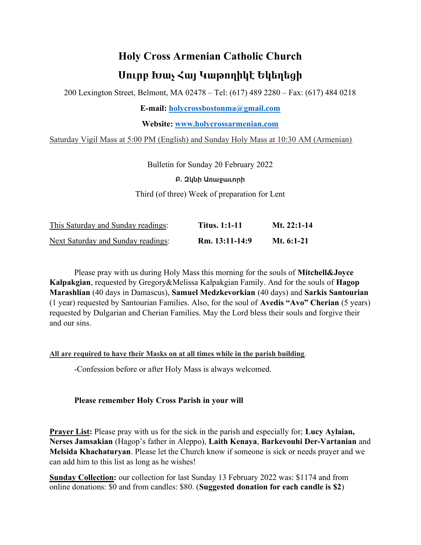## Holy Cross Armenian Catholic Church Սուրբ Խաչ Հայ Կաթողիկէ Եկեղեցի

200 Lexington Street, Belmont, MA 02478 – Tel: (617) 489 2280 – Fax: (617) 484 0218

E-mail: holycrossbostonma@gmail.com

Website: www.holycrossarmenian.com

Saturday Vigil Mass at 5:00 PM (English) and Sunday Holy Mass at 10:30 AM (Armenian)

Bulletin for Sunday 20 February 2022

Բ. Զկնի Առաջաւորի

Third (of three) Week of preparation for Lent

| This Saturday and Sunday readings: | <b>Titus. 1:1-11</b> | Mt. $22:1-14$ |
|------------------------------------|----------------------|---------------|
| Next Saturday and Sunday readings: | Rm. 13:11-14:9       | Mt. $6:1-21$  |

Please pray with us during Holy Mass this morning for the souls of **Mitchell&Joyce** Kalpakgian, requested by Gregory&Melissa Kalpakgian Family. And for the souls of Hagop Marashlian (40 days in Damascus), Samuel Medzkevorkian (40 days) and Sarkis Santourian (1 year) requested by Santourian Families. Also, for the soul of Avedis "Avo" Cherian (5 years) requested by Dulgarian and Cherian Families. May the Lord bless their souls and forgive their and our sins.

All are required to have their Masks on at all times while in the parish building.

-Confession before or after Holy Mass is always welcomed.

## Please remember Holy Cross Parish in your will

Prayer List: Please pray with us for the sick in the parish and especially for; Lucy Aylaian, Nerses Jamsakian (Hagop's father in Aleppo), Laith Kenaya, Barkevouhi Der-Vartanian and Melsida Khachaturyan. Please let the Church know if someone is sick or needs prayer and we can add him to this list as long as he wishes!

Sunday Collection: our collection for last Sunday 13 February 2022 was: \$1174 and from online donations: \$0 and from candles: \$80. (Suggested donation for each candle is \$2)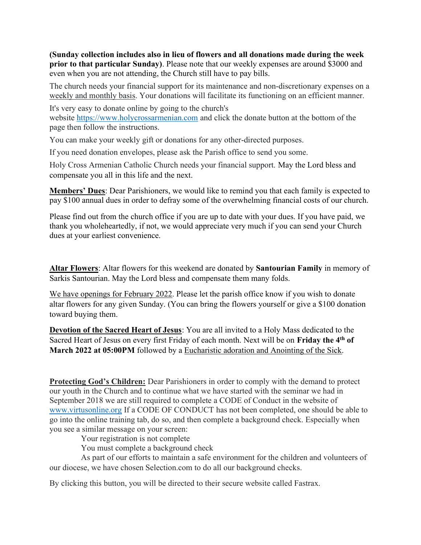(Sunday collection includes also in lieu of flowers and all donations made during the week prior to that particular Sunday). Please note that our weekly expenses are around \$3000 and even when you are not attending, the Church still have to pay bills.

The church needs your financial support for its maintenance and non-discretionary expenses on a weekly and monthly basis. Your donations will facilitate its functioning on an efficient manner.

It's very easy to donate online by going to the church's website https://www.holycrossarmenian.com and click the donate button at the bottom of the page then follow the instructions.

You can make your weekly gift or donations for any other-directed purposes.

If you need donation envelopes, please ask the Parish office to send you some.

Holy Cross Armenian Catholic Church needs your financial support. May the Lord bless and compensate you all in this life and the next.

Members' Dues: Dear Parishioners, we would like to remind you that each family is expected to pay \$100 annual dues in order to defray some of the overwhelming financial costs of our church.

Please find out from the church office if you are up to date with your dues. If you have paid, we thank you wholeheartedly, if not, we would appreciate very much if you can send your Church dues at your earliest convenience.

Altar Flowers: Altar flowers for this weekend are donated by Santourian Family in memory of Sarkis Santourian. May the Lord bless and compensate them many folds.

We have openings for February 2022. Please let the parish office know if you wish to donate altar flowers for any given Sunday. (You can bring the flowers yourself or give a \$100 donation toward buying them.

Devotion of the Sacred Heart of Jesus: You are all invited to a Holy Mass dedicated to the Sacred Heart of Jesus on every first Friday of each month. Next will be on Friday the 4<sup>th</sup> of March 2022 at 05:00PM followed by a Eucharistic adoration and Anointing of the Sick.

Protecting God's Children: Dear Parishioners in order to comply with the demand to protect our youth in the Church and to continue what we have started with the seminar we had in September 2018 we are still required to complete a CODE of Conduct in the website of www.virtusonline.org If a CODE OF CONDUCT has not been completed, one should be able to go into the online training tab, do so, and then complete a background check. Especially when you see a similar message on your screen:

Your registration is not complete

You must complete a background check

 As part of our efforts to maintain a safe environment for the children and volunteers of our diocese, we have chosen Selection.com to do all our background checks.

By clicking this button, you will be directed to their secure website called Fastrax.